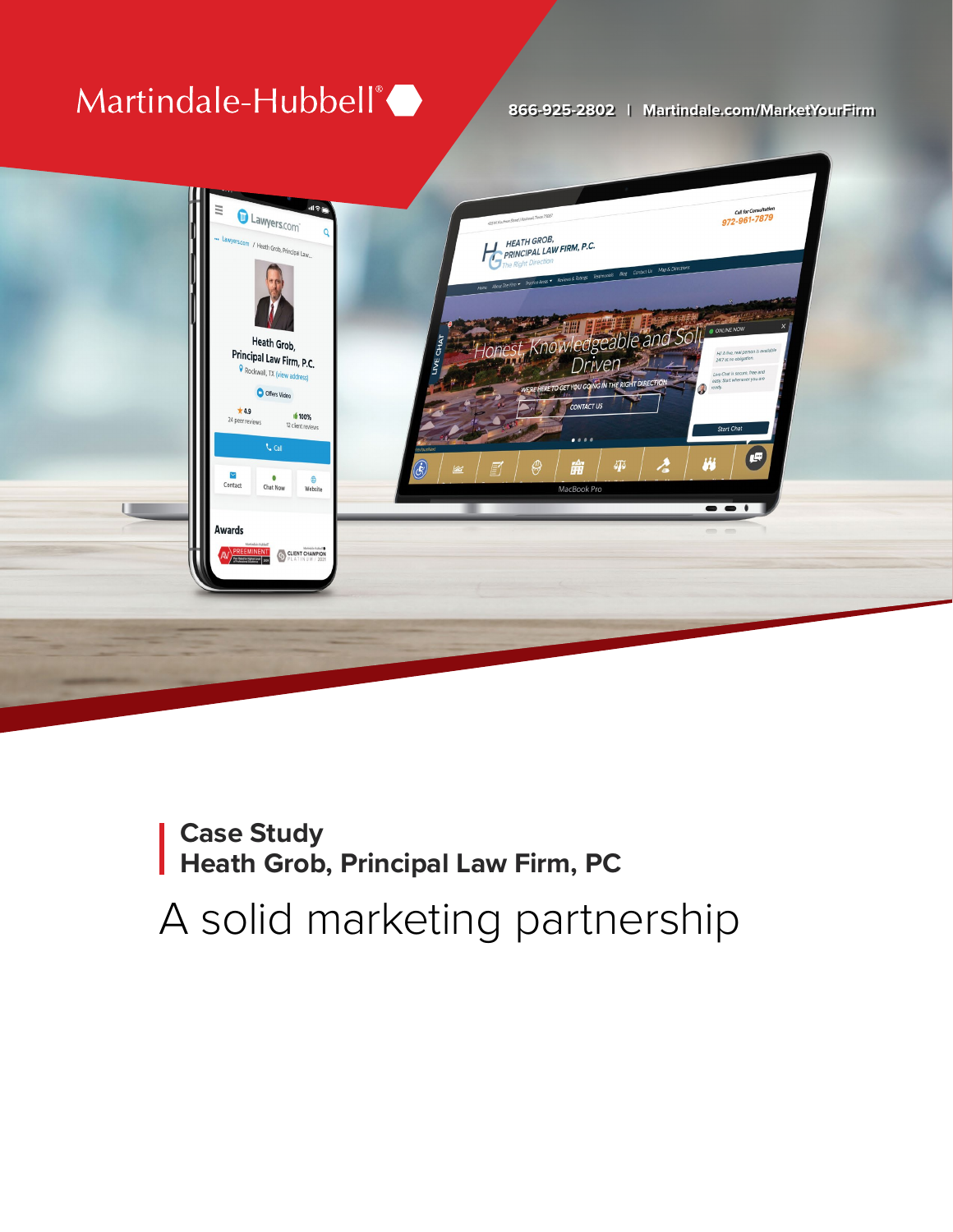### Martindale-Hubbell®

#### **866-925-2802 | Martindale.com/MarketYourFirm**



## **Case Study Heath Grob, Principal Law Firm, PC**  A solid marketing partnership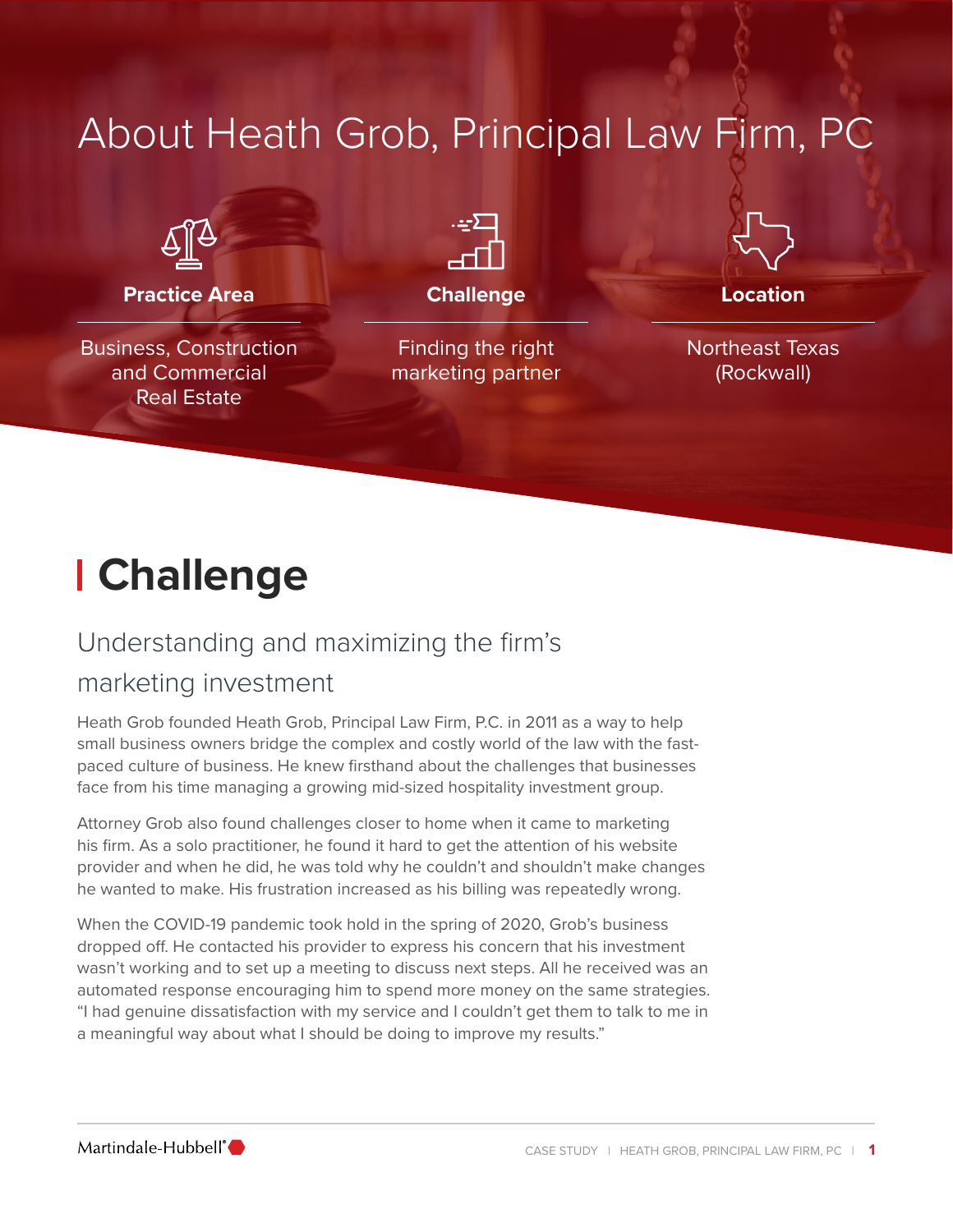#### **Practice Area** Business, Construction and Commercial Real Estate About Heath Grob, Principal Law Firm, PC **Challenge** Finding the right marketing partner **Location** Northeast Texas (Rockwall)

# **Challenge**

### Understanding and maximizing the firm's

#### marketing investment

Heath Grob founded Heath Grob, Principal Law Firm, P.C. in 2011 as a way to help small business owners bridge the complex and costly world of the law with the fastpaced culture of business. He knew firsthand about the challenges that businesses face from his time managing a growing mid-sized hospitality investment group.

Attorney Grob also found challenges closer to home when it came to marketing his firm. As a solo practitioner, he found it hard to get the attention of his website provider and when he did, he was told why he couldn't and shouldn't make changes he wanted to make. His frustration increased as his billing was repeatedly wrong.

When the COVID-19 pandemic took hold in the spring of 2020, Grob's business dropped off. He contacted his provider to express his concern that his investment wasn't working and to set up a meeting to discuss next steps. All he received was an automated response encouraging him to spend more money on the same strategies. "I had genuine dissatisfaction with my service and I couldn't get them to talk to me in a meaningful way about what I should be doing to improve my results."

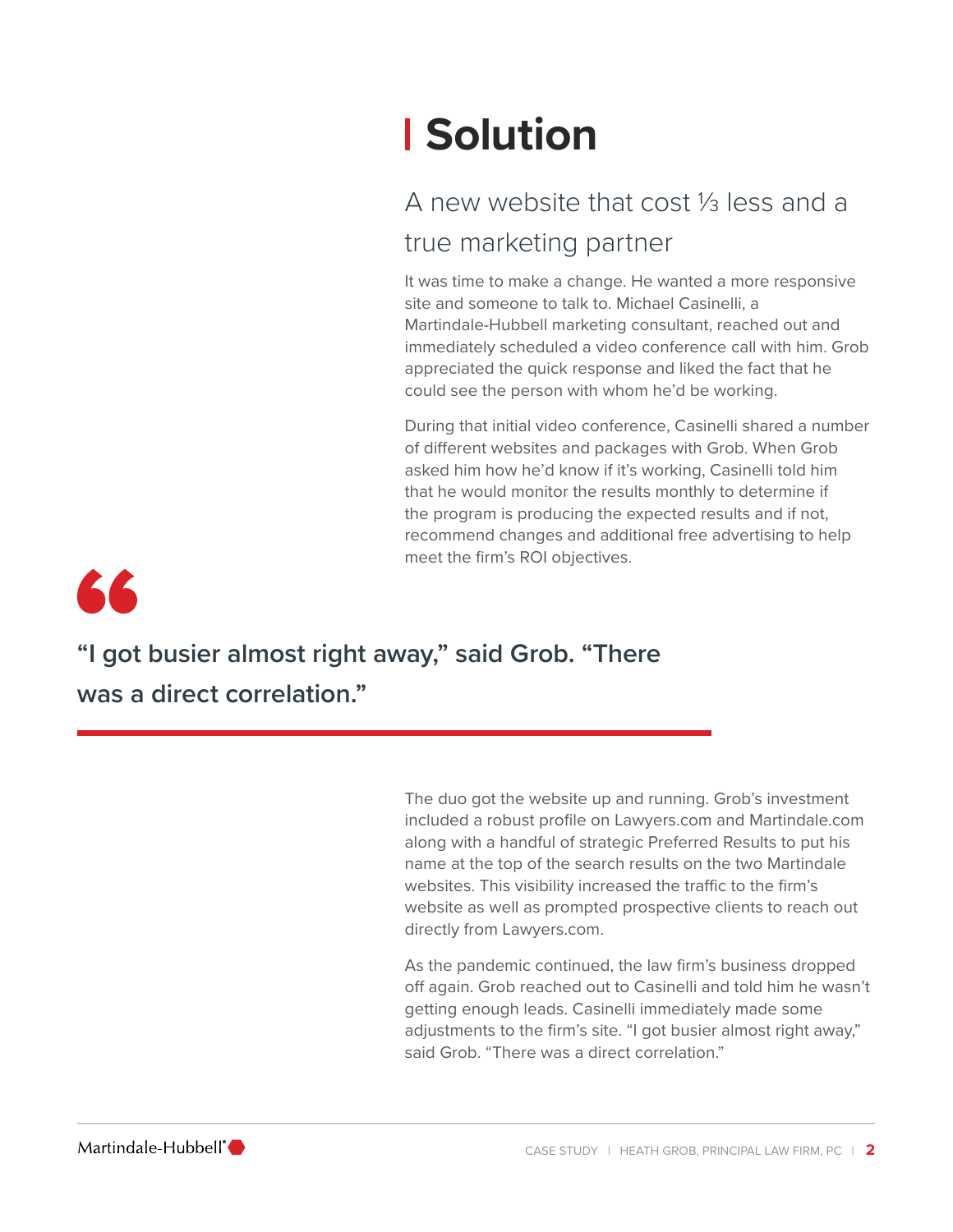# **Solution**

### A new website that cost ⅓ less and a true marketing partner

It was time to make a change. He wanted a more responsive site and someone to talk to. Michael Casinelli, a Martindale-Hubbell marketing consultant, reached out and immediately scheduled a video conference call with him. Grob appreciated the quick response and liked the fact that he could see the person with whom he'd be working.

During that initial video conference, Casinelli shared a number of different websites and packages with Grob. When Grob asked him how he'd know if it's working, Casinelli told him that he would monitor the results monthly to determine if the program is producing the expected results and if not, recommend changes and additional free advertising to help meet the firm's ROI objectives.



**"I got busier almost right away," said Grob. "There was a direct correlation."**

> The duo got the website up and running. Grob's investment included a robust profile on Lawyers.com and Martindale.com along with a handful of strategic Preferred Results to put his name at the top of the search results on the two Martindale websites. This visibility increased the traffic to the firm's website as well as prompted prospective clients to reach out directly from Lawyers.com.

As the pandemic continued, the law firm's business dropped off again. Grob reached out to Casinelli and told him he wasn't getting enough leads. Casinelli immediately made some adiustments to the firm's site. "I got busier almost right away." said Grob. "There was a direct correlation."

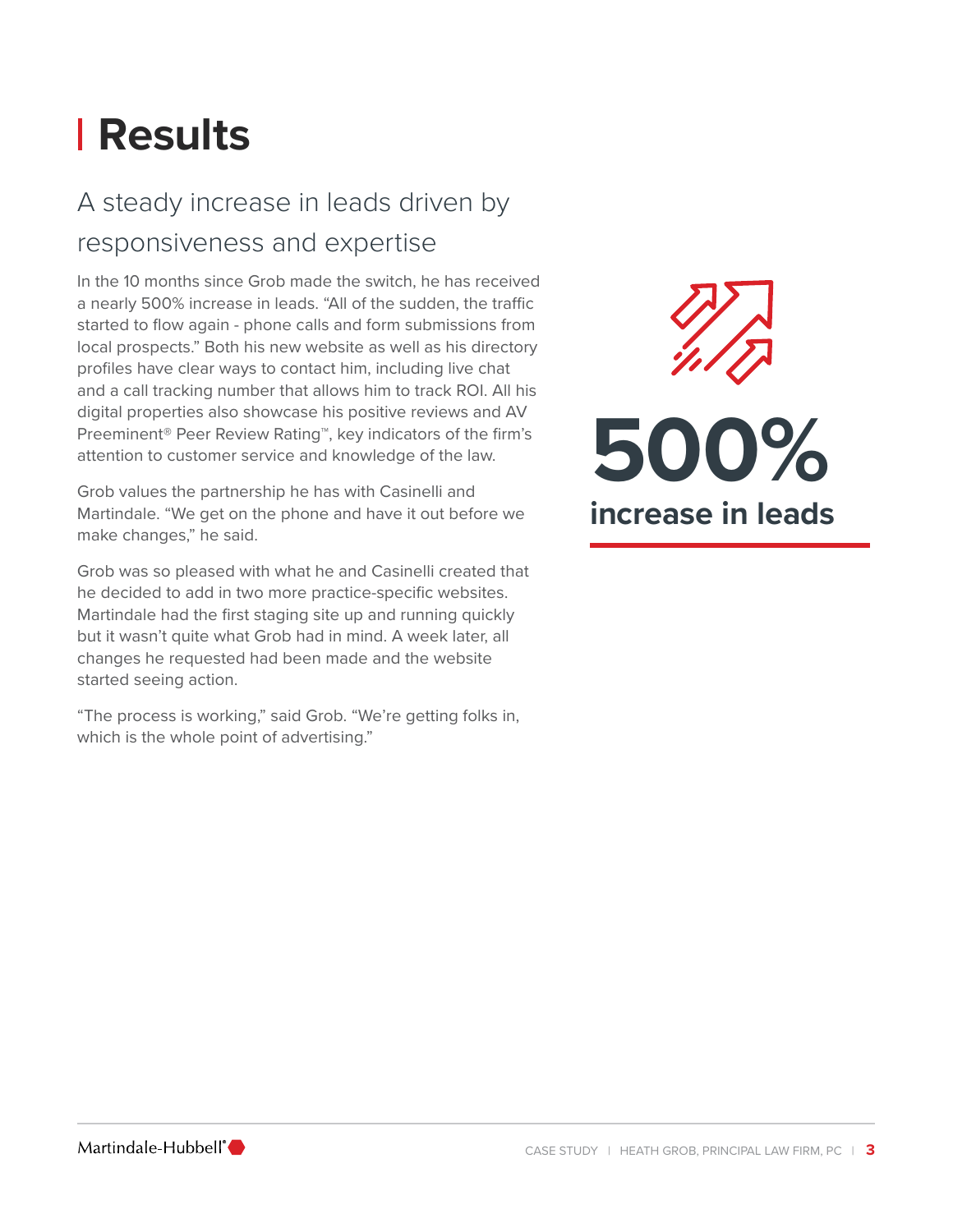# **Results**

### A steady increase in leads driven by responsiveness and expertise

In the 10 months since Grob made the switch, he has received a nearly 500% increase in leads. "All of the sudden, the traffic started to flow again - phone calls and form submissions from local prospects." Both his new website as well as his directory profiles have clear ways to contact him, including live chat and a call tracking number that allows him to track ROI. All his digital properties also showcase his positive reviews and AV Preeminent® Peer Review Rating™, key indicators of the firm's attention to customer service and knowledge of the law.

Grob values the partnership he has with Casinelli and Martindale. "We get on the phone and have it out before we make changes," he said.

Grob was so pleased with what he and Casinelli created that he decided to add in two more practice-specific websites. Martindale had the first staging site up and running quickly but it wasn't quite what Grob had in mind. A week later, all changes he requested had been made and the website started seeing action.

"The process is working," said Grob. "We're getting folks in, which is the whole point of advertising."